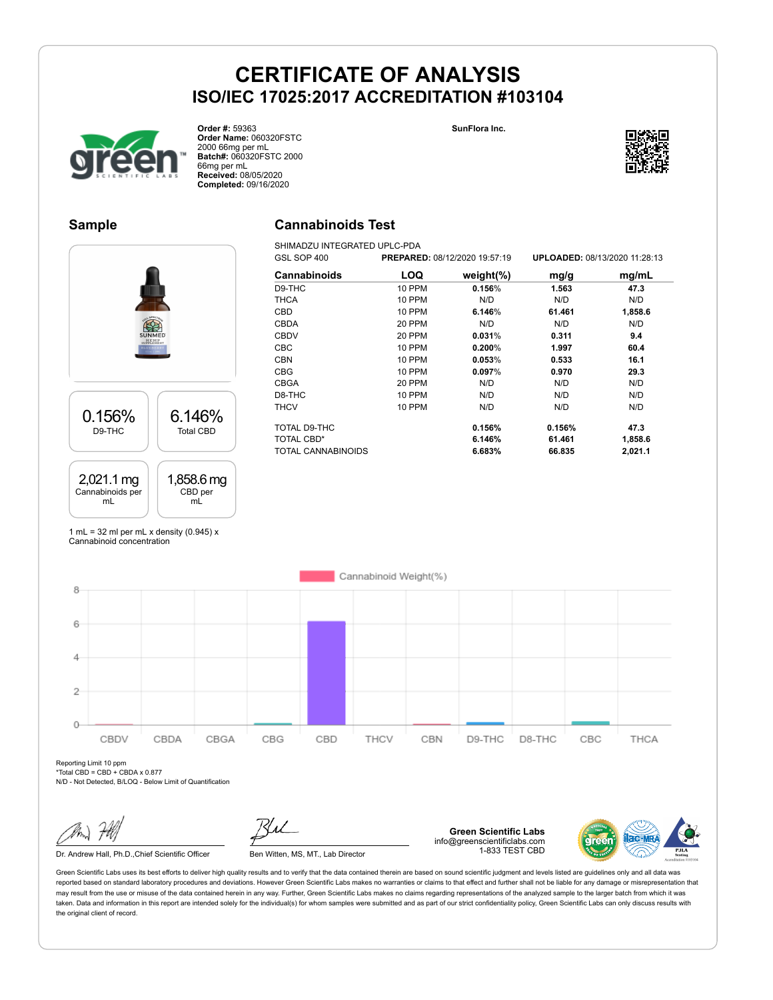**SunFlora Inc.**



**Order #:** 59363 **Order Name:** 060320FSTC 2000 66mg per mL **Batch#:** 060320FSTC 2000 66mg per mL **Received:** 08/05/2020 **Completed:** 09/16/2020

### **Sample**

0.156% D9-THC

2,021.1 mg Cannabinoids per mL

### **Cannabinoids Test**

SHIMADZU INTEGRATED UPLC-PDA<br>GSL SOP 400 PREPARE GSL SOP 400 **PREPARED:** 08/12/2020 19:57:19 **UPLOADED:** 08/13/2020 11:28:13 **Cannabinoids LOQ weight(%) mg/g mg/mL** D9-THC 10 PPM **0.156**% **1.563 47.3** THCA 10 PPM N/D N/D N/D CBD 10 PPM **6.146**% **61.461 1,858.6** CBDA 20 PPM N/D N/D N/D CBDV 20 PPM **0.031**% **0.311 9.4** CBC 10 PPM **0.200**% **1.997 60.4** CBN 10 PPM **0.053**% **0.533 16.1** CBG 10 PPM **0.097**% **0.970 29.3** CBGA 20 PPM N/D N/D N/D D8-THC 10 PPM N/D N/D N/D THCV 10 PPM N/D N/D N/D TOTAL D9-THC **0.156% 0.156% 47.3** TOTAL CBD\* **6.146% 61.461 1,858.6** TOTAL CANNABINOIDS **6.683% 66.835 2,021.1**

1 mL = 32 ml per mL x density  $(0.945)$  x Cannabinoid concentration

6.146% Total CBD

1,858.6 mg CBD per mL

Cannabinoid Weight(%) 8 6  $\overline{4}$  $\overline{2}$  $\Omega$ CBDV CBDA CBGA CBG CBD THCV CBN D9-THC D8-THC CBC THCA

Reporting Limit 10 ppm \*Total CBD = CBD + CBDA x 0.877

N/D - Not Detected, B/LOQ - Below Limit of Quantification

Dr. Andrew Hall, Ph.D., Chief Scientific Officer Ben Witten, MS, MT., Lab Director

**Green Scientific Labs** info@greenscientificlabs.com 1-833 TEST CBD



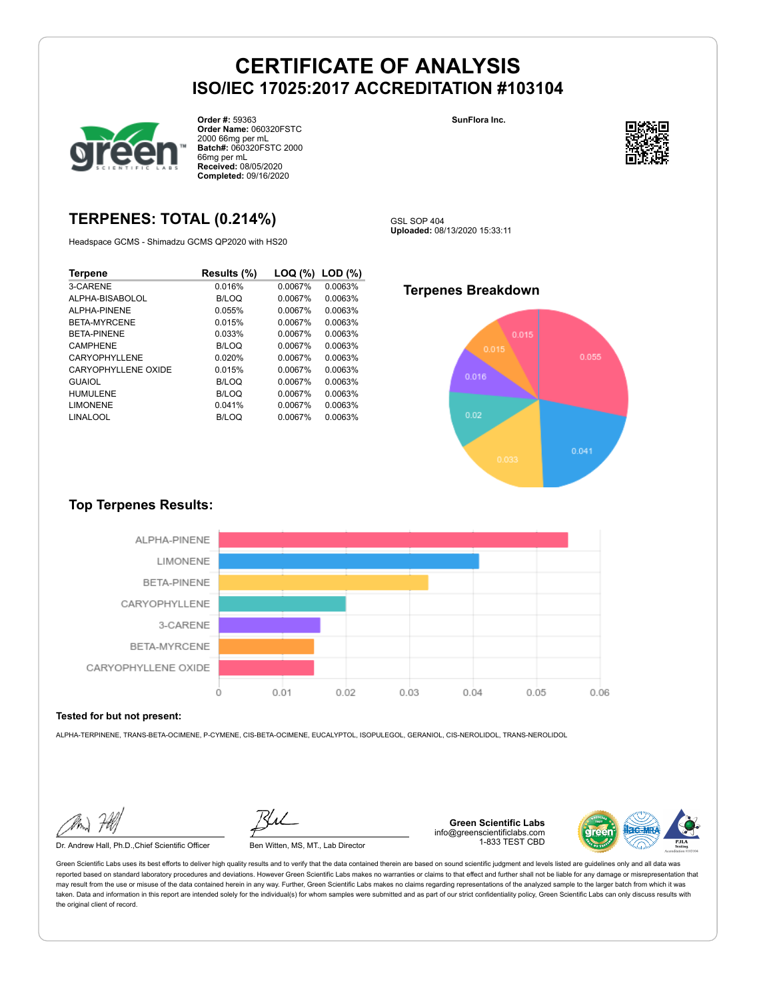

**Order #:** 59363 **Order Name:** 060320FSTC 2000 66mg per mL **Batch#:** 060320FSTC 2000 66mg per mL **Received:** 08/05/2020 **Completed:** 09/16/2020

## **TERPENES: TOTAL (0.214%)**

Headspace GCMS - Shimadzu GCMS QP2020 with HS20

| Terpene             | Results (%)  | LOQ (%) | LOD(%)  |
|---------------------|--------------|---------|---------|
| 3-CARENE            | 0.016%       | 0.0067% | 0.0063% |
| ALPHA-BISABOLOL     | B/LOQ        | 0.0067% | 0.0063% |
| AI PHA-PINENE       | 0.055%       | 0.0067% | 0.0063% |
| <b>BETA-MYRCENE</b> | 0.015%       | 0.0067% | 0.0063% |
| <b>BETA-PINENE</b>  | 0.033%       | 0.0067% | 0.0063% |
| <b>CAMPHENE</b>     | B/LOQ        | 0.0067% | 0.0063% |
| CARYOPHYLL FNF      | 0.020%       | 0.0067% | 0.0063% |
| CARYOPHYLLENE OXIDE | 0.015%       | 0.0067% | 0.0063% |
| <b>GUAIOL</b>       | B/LOQ        | 0.0067% | 0.0063% |
| HUMULFNE            | B/LOQ        | 0.0067% | 0.0063% |
| <b>LIMONENE</b>     | 0.041%       | 0.0067% | 0.0063% |
| LINALOOL            | <b>B/LOQ</b> | 0.0067% | 0.0063% |





GSL SOP 404 **Uploaded:** 08/13/2020 15:33:11

### **Terpenes Breakdown**



### **Top Terpenes Results:**



#### **Tested for but not present:**

ALPHA-TERPINENE, TRANS-BETA-OCIMENE, P-CYMENE, CIS-BETA-OCIMENE, EUCALYPTOL, ISOPULEGOL, GERANIOL, CIS-NEROLIDOL, TRANS-NEROLIDOL

Dr. Andrew Hall, Ph.D.,Chief Scientific Officer Ben Witten, MS, MT., Lab Director

**Green Scientific Labs** info@greenscientificlabs.com 1-833 TEST CBD

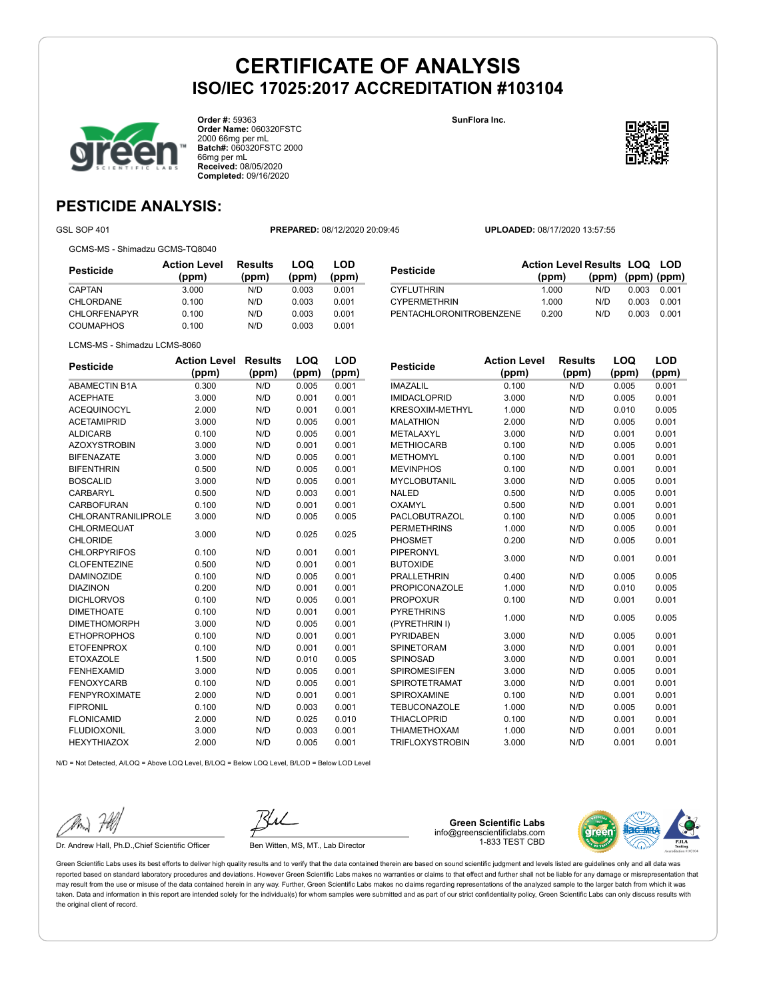**SunFlora Inc.**



**Order #:** 59363 **Order Name:** 060320FSTC 2000 66mg per mL **Batch#:** 060320FSTC 2000 66mg per mL **Received:** 08/05/2020 **Completed:** 09/16/2020



## **PESTICIDE ANALYSIS:**

GSL SOP 401 **PREPARED:** 08/12/2020 20:09:45 **UPLOADED:** 08/17/2020 13:57:55

GCMS-MS - Shimadzu GCMS-TQ8040

| Pesticide        | <b>Action Level</b><br>(ppm) | Results<br>(ppm) | LOQ<br>(ppm) | LOD<br>(ppm) |  |
|------------------|------------------------------|------------------|--------------|--------------|--|
| CAPTAN           | 3.000                        | N/D              | 0.003        | 0.001        |  |
| <b>CHLORDANE</b> | 0.100                        | N/D              | 0.003        | 0.001        |  |
| CHLORFENAPYR     | 0.100                        | N/D              | 0.003        | 0.001        |  |
| COUMAPHOS        | 0.100                        | N/D              | 0.003        | 0.001        |  |
|                  |                              |                  |              |              |  |

| <b>Pesticide</b>        | <b>Action Level Results LOQ LOD</b> |                   |       |       |
|-------------------------|-------------------------------------|-------------------|-------|-------|
|                         | (ppm)                               | (ppm) (ppm) (ppm) |       |       |
| <b>CYFLUTHRIN</b>       | 1.000                               | N/D               | 0.003 | 0.001 |
| <b>CYPERMETHRIN</b>     | 1.000                               | N/D               | 0.003 | 0.001 |
| PENTACHLORONITROBENZENE | 0.200                               | N/D               | 0.003 | 0.001 |

LCMS-MS - Shimadzu LCMS-8060

| <b>Pesticide</b>           | <b>Action Level</b> | <b>Results</b> | LOQ   | <b>LOD</b> |
|----------------------------|---------------------|----------------|-------|------------|
|                            | (ppm)               | (ppm)          | (ppm) | (ppm)      |
| <b>ABAMECTIN B1A</b>       | 0.300               | N/D            | 0.005 | 0.001      |
| <b>ACEPHATE</b>            | 3.000               | N/D            | 0.001 | 0.001      |
| <b>ACEQUINOCYL</b>         | 2.000               | N/D            | 0.001 | 0.001      |
| <b>ACETAMIPRID</b>         | 3.000               | N/D            | 0.005 | 0.001      |
| <b>ALDICARB</b>            | 0.100               | N/D            | 0.005 | 0.001      |
| <b>AZOXYSTROBIN</b>        | 3.000               | N/D            | 0.001 | 0.001      |
| <b>BIFENAZATE</b>          | 3.000               | N/D            | 0.005 | 0.001      |
| <b>BIFENTHRIN</b>          | 0.500               | N/D            | 0.005 | 0.001      |
| <b>BOSCALID</b>            | 3.000               | N/D            | 0.005 | 0.001      |
| <b>CARBARYL</b>            | 0.500               | N/D            | 0.003 | 0.001      |
| <b>CARBOFURAN</b>          | 0.100               | N/D            | 0.001 | 0.001      |
| <b>CHLORANTRANILIPROLE</b> | 3.000               | N/D            | 0.005 | 0.005      |
| CHLORMEQUAT                | 3.000               | N/D            | 0.025 | 0.025      |
| <b>CHLORIDE</b>            |                     |                |       |            |
| <b>CHLORPYRIFOS</b>        | 0.100               | N/D            | 0.001 | 0.001      |
| <b>CLOFENTEZINE</b>        | 0.500               | N/D            | 0.001 | 0.001      |
| <b>DAMINOZIDE</b>          | 0.100               | N/D            | 0.005 | 0.001      |
| <b>DIAZINON</b>            | 0.200               | N/D            | 0.001 | 0.001      |
| <b>DICHLORVOS</b>          | 0.100               | N/D            | 0.005 | 0.001      |
| <b>DIMETHOATE</b>          | 0.100               | N/D            | 0.001 | 0.001      |
| <b>DIMETHOMORPH</b>        | 3.000               | N/D            | 0.005 | 0.001      |
| <b>ETHOPROPHOS</b>         | 0.100               | N/D            | 0.001 | 0.001      |
| <b>ETOFENPROX</b>          | 0.100               | N/D            | 0.001 | 0.001      |
| <b>ETOXAZOLE</b>           | 1.500               | N/D            | 0.010 | 0.005      |
| <b>FENHEXAMID</b>          | 3.000               | N/D            | 0.005 | 0.001      |
| <b>FENOXYCARB</b>          | 0.100               | N/D            | 0.005 | 0.001      |
| <b>FENPYROXIMATE</b>       | 2.000               | N/D            | 0.001 | 0.001      |
| <b>FIPRONIL</b>            | 0.100               | N/D            | 0.003 | 0.001      |
| <b>FLONICAMID</b>          | 2.000               | N/D            | 0.025 | 0.010      |
| <b>FLUDIOXONIL</b>         | 3.000               | N/D            | 0.003 | 0.001      |
| <b>HEXYTHIAZOX</b>         | 2.000               | N/D            | 0.005 | 0.001      |
|                            |                     |                |       |            |

| Pesticide              | <b>Action Level</b> | <b>Results</b> | LOQ   | LOD   |
|------------------------|---------------------|----------------|-------|-------|
|                        | (ppm)               | (ppm)          | (ppm) | (ppm) |
| <b>IMAZALIL</b>        | 0.100               | N/D            | 0.005 | 0.001 |
| <b>IMIDACLOPRID</b>    | 3.000               | N/D            | 0.005 | 0.001 |
| <b>KRESOXIM-METHYL</b> | 1.000               | N/D            | 0.010 | 0.005 |
| <b>MALATHION</b>       | 2.000               | N/D            | 0.005 | 0.001 |
| METALAXYL              | 3.000               | N/D            | 0.001 | 0.001 |
| <b>METHIOCARB</b>      | 0.100               | N/D            | 0.005 | 0.001 |
| <b>METHOMYL</b>        | 0.100               | N/D            | 0.001 | 0.001 |
| <b>MEVINPHOS</b>       | 0.100               | N/D            | 0.001 | 0.001 |
| <b>MYCLOBUTANIL</b>    | 3.000               | N/D            | 0.005 | 0.001 |
| <b>NALED</b>           | 0.500               | N/D            | 0.005 | 0.001 |
| <b>OXAMYL</b>          | 0.500               | N/D            | 0.001 | 0.001 |
| <b>PACLOBUTRAZOL</b>   | 0.100               | N/D            | 0.005 | 0.001 |
| <b>PERMETHRINS</b>     | 1.000               | N/D            | 0.005 | 0.001 |
| PHOSMET                | 0.200               | N/D            | 0.005 | 0.001 |
| <b>PIPERONYL</b>       | 3.000               | N/D            | 0.001 | 0.001 |
| <b>BUTOXIDE</b>        |                     |                |       |       |
| <b>PRALLETHRIN</b>     | 0.400               | N/D            | 0.005 | 0.005 |
| <b>PROPICONAZOLE</b>   | 1.000               | N/D            | 0.010 | 0.005 |
| <b>PROPOXUR</b>        | 0.100               | N/D            | 0.001 | 0.001 |
| <b>PYRETHRINS</b>      |                     |                |       |       |
| (PYRETHRIN I)          | 1.000               | N/D            | 0.005 | 0.005 |
| <b>PYRIDABEN</b>       | 3.000               | N/D            | 0.005 | 0.001 |
| <b>SPINETORAM</b>      | 3.000               | N/D            | 0.001 | 0.001 |
| SPINOSAD               | 3.000               | N/D            | 0.001 | 0.001 |
| <b>SPIROMESIFEN</b>    | 3.000               | N/D            | 0.005 | 0.001 |
| <b>SPIROTETRAMAT</b>   | 3.000               | N/D            | 0.001 | 0.001 |
| SPIROXAMINE            | 0.100               | N/D            | 0.001 | 0.001 |
| <b>TEBUCONAZOLE</b>    | 1.000               | N/D            | 0.005 | 0.001 |
| <b>THIACLOPRID</b>     | 0.100               | N/D            | 0.001 | 0.001 |
| <b>THIAMETHOXAM</b>    | 1.000               | N/D            | 0.001 | 0.001 |
| <b>TRIFLOXYSTROBIN</b> | 3.000               | N/D            | 0.001 | 0.001 |

N/D = Not Detected, A/LOQ = Above LOQ Level, B/LOQ = Below LOQ Level, B/LOD = Below LOD Level

Dr. Andrew Hall, Ph.D., Chief Scientific Officer Ben Witten, MS, MT., Lab Director

**Green Scientific Labs** info@greenscientificlabs.com 1-833 TEST CBD

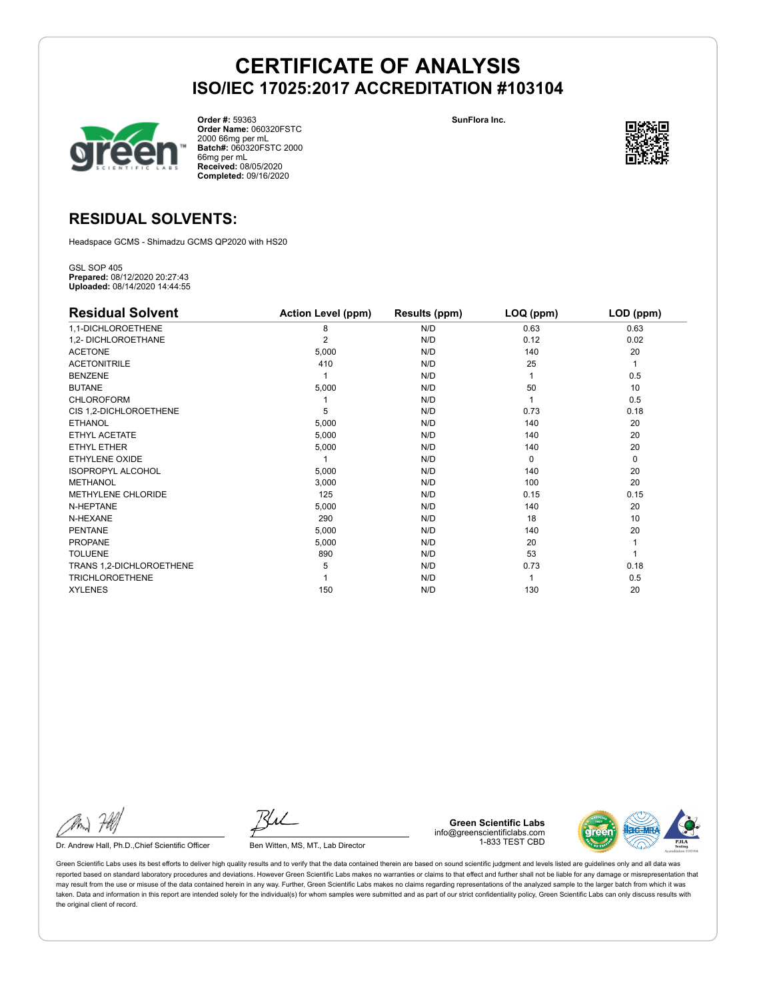



**Order #:** 59363 **Order Name:** 060320FSTC 2000 66mg per mL **Batch#:** 060320FSTC 2000 66mg per mL **Received:** 08/05/2020 **Completed:** 09/16/2020



### **RESIDUAL SOLVENTS:**

Headspace GCMS - Shimadzu GCMS QP2020 with HS20

GSL SOP 405 **Prepared:** 08/12/2020 20:27:43 **Uploaded:** 08/14/2020 14:44:55

| <b>Residual Solvent</b>   | <b>Action Level (ppm)</b> | Results (ppm) | LOQ (ppm) | LOD (ppm)   |
|---------------------------|---------------------------|---------------|-----------|-------------|
| 1,1-DICHLOROETHENE        | 8                         | N/D           | 0.63      | 0.63        |
| 1,2- DICHLOROETHANE       | 2                         | N/D           | 0.12      | 0.02        |
| <b>ACETONE</b>            | 5,000                     | N/D           | 140       | 20          |
| <b>ACETONITRILE</b>       | 410                       | N/D           | 25        | 1           |
| <b>BENZENE</b>            |                           | N/D           |           | 0.5         |
| <b>BUTANE</b>             | 5,000                     | N/D           | 50        | 10          |
| <b>CHLOROFORM</b>         |                           | N/D           |           | 0.5         |
| CIS 1,2-DICHLOROETHENE    | 5                         | N/D           | 0.73      | 0.18        |
| <b>ETHANOL</b>            | 5,000                     | N/D           | 140       | 20          |
| ETHYL ACETATE             | 5,000                     | N/D           | 140       | 20          |
| ETHYL ETHER               | 5,000                     | N/D           | 140       | 20          |
| ETHYLENE OXIDE            |                           | N/D           | $\Omega$  | $\mathbf 0$ |
| <b>ISOPROPYL ALCOHOL</b>  | 5,000                     | N/D           | 140       | 20          |
| METHANOL                  | 3,000                     | N/D           | 100       | 20          |
| <b>METHYLENE CHLORIDE</b> | 125                       | N/D           | 0.15      | 0.15        |
| N-HEPTANE                 | 5,000                     | N/D           | 140       | 20          |
| N-HEXANE                  | 290                       | N/D           | 18        | 10          |
| <b>PENTANE</b>            | 5,000                     | N/D           | 140       | 20          |
| <b>PROPANE</b>            | 5,000                     | N/D           | 20        |             |
| <b>TOLUENE</b>            | 890                       | N/D           | 53        |             |
| TRANS 1,2-DICHLOROETHENE  | 5                         | N/D           | 0.73      | 0.18        |
| <b>TRICHLOROETHENE</b>    |                           | N/D           |           | 0.5         |
| <b>XYLENES</b>            | 150                       | N/D           | 130       | 20          |

Dr. Andrew Hall, Ph.D., Chief Scientific Officer Ben Witten, MS, MT., Lab Director

**Green Scientific Labs** info@greenscientificlabs.com 1-833 TEST CBD

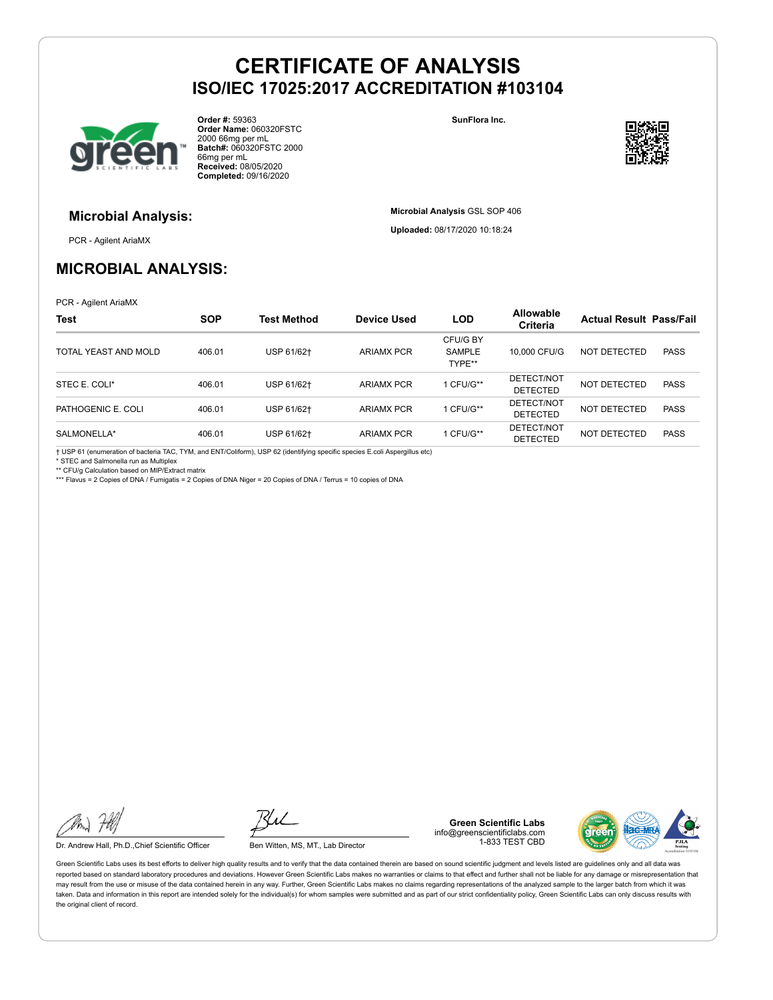

**Order #:** 59363 **Order Name:** 060320FSTC 2000 66mg per mL **Batch#:** 060320FSTC 2000 66mg per mL **Received:** 08/05/2020 **Completed:** 09/16/2020

**SunFlora Inc.**

**Microbial Analysis** GSL SOP 406 **Uploaded:** 08/17/2020 10:18:24



### **Microbial Analysis:**

PCR - Agilent AriaMX

## **MICROBIAL ANALYSIS:**

PCR - Agilent AriaMX

| <b>Test</b>          | <b>SOP</b> | <b>Test Method</b> | Device Used       | <b>LOD</b>                          | <b>Allowable</b><br>Criteria  | <b>Actual Result Pass/Fail</b> |             |
|----------------------|------------|--------------------|-------------------|-------------------------------------|-------------------------------|--------------------------------|-------------|
| TOTAL YEAST AND MOLD | 406.01     | USP 61/62+         | <b>ARIAMX PCR</b> | CFU/G BY<br><b>SAMPLE</b><br>TYPE** | 10,000 CFU/G                  | NOT DETECTED                   | <b>PASS</b> |
| STEC E. COLI*        | 406.01     | USP 61/62+         | <b>ARIAMX PCR</b> | 1 CFU/G**                           | DETECT/NOT<br><b>DETECTED</b> | <b>NOT DETECTED</b>            | <b>PASS</b> |
| PATHOGENIC E. COLI   | 406.01     | USP 61/62+         | <b>ARIAMX PCR</b> | 1 CFU/G**                           | DETECT/NOT<br><b>DETECTED</b> | NOT DETECTED                   | <b>PASS</b> |
| SALMONELLA*          | 406.01     | USP 61/62+         | <b>ARIAMX PCR</b> | 1 CFU/G**                           | DETECT/NOT<br><b>DETECTED</b> | NOT DETECTED                   | <b>PASS</b> |

† USP 61 (enumeration of bacteria TAC, TYM, and ENT/Coliform), USP 62 (identifying specific species E.coli Aspergillus etc)

\* STEC and Salmonella run as Multiplex

\*\* CFU/g Calculation based on MIP/Extract matrix

\*\*\* Flavus = 2 Copies of DNA / Fumigatis = 2 Copies of DNA Niger = 20 Copies of DNA / Terrus = 10 copies of DNA

Dr. Andrew Hall, Ph.D., Chief Scientific Officer Ben Witten, MS, MT., Lab Director

**Green Scientific Labs** info@greenscientificlabs.com 1-833 TEST CBD